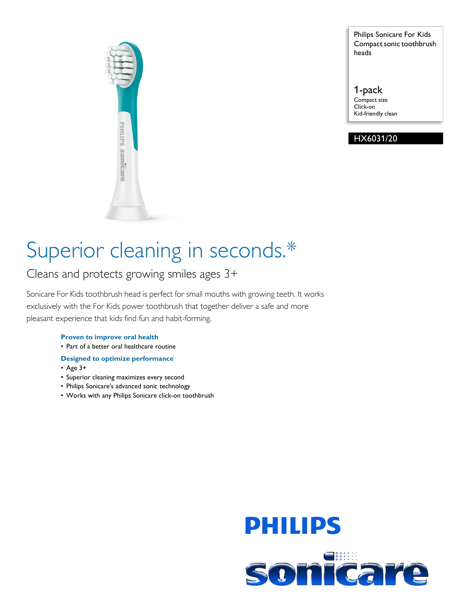

Philips Sonicare For Kids Compact sonic toothbrush heads

1-pack Compact size Click-on Kid-friendly clean

# HX6031/20

# Superior cleaning in seconds.\*

Cleans and protects growing smiles ages 3+

Sonicare For Kids toothbrush head is perfect for small mouths with growing teeth. It works exclusively with the For Kids power toothbrush that together deliver a safe and more pleasant experience that kids find fun and habit-forming.

## **Proven to improve oral health**

• Part of a better oral healthcare routine

## **Designed to optimize performance**

- Age 3+
- Superior cleaning maximizes every second
- Philips Sonicare's advanced sonic technology
- Works with any Philips Sonicare click-on toothbrush